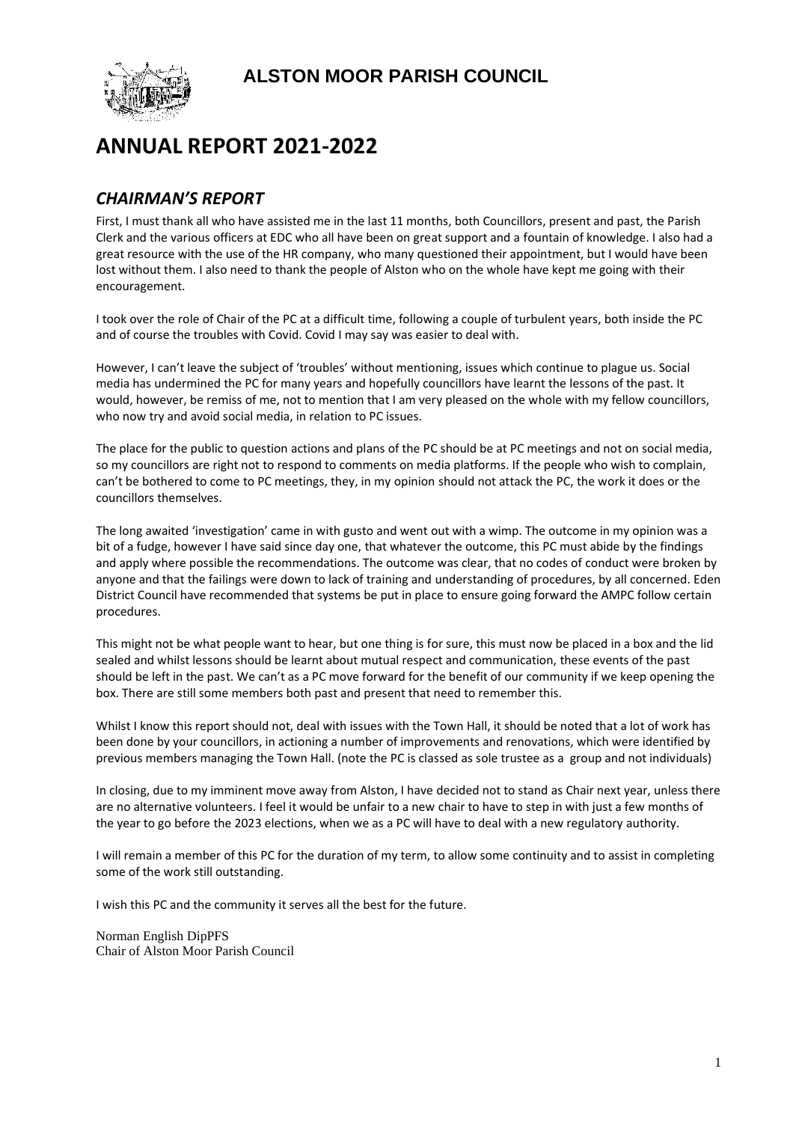**ALSTON MOOR PARISH COUNCIL**



# **ANNUAL REPORT 2021-2022**

## *CHAIRMAN'S REPORT*

First, I must thank all who have assisted me in the last 11 months, both Councillors, present and past, the Parish Clerk and the various officers at EDC who all have been on great support and a fountain of knowledge. I also had a great resource with the use of the HR company, who many questioned their appointment, but I would have been lost without them. I also need to thank the people of Alston who on the whole have kept me going with their encouragement.

I took over the role of Chair of the PC at a difficult time, following a couple of turbulent years, both inside the PC and of course the troubles with Covid. Covid I may say was easier to deal with.

However, I can't leave the subject of 'troubles' without mentioning, issues which continue to plague us. Social media has undermined the PC for many years and hopefully councillors have learnt the lessons of the past. It would, however, be remiss of me, not to mention that I am very pleased on the whole with my fellow councillors, who now try and avoid social media, in relation to PC issues.

The place for the public to question actions and plans of the PC should be at PC meetings and not on social media, so my councillors are right not to respond to comments on media platforms. If the people who wish to complain, can't be bothered to come to PC meetings, they, in my opinion should not attack the PC, the work it does or the councillors themselves.

The long awaited 'investigation' came in with gusto and went out with a wimp. The outcome in my opinion was a bit of a fudge, however I have said since day one, that whatever the outcome, this PC must abide by the findings and apply where possible the recommendations. The outcome was clear, that no codes of conduct were broken by anyone and that the failings were down to lack of training and understanding of procedures, by all concerned. Eden District Council have recommended that systems be put in place to ensure going forward the AMPC follow certain procedures.

This might not be what people want to hear, but one thing is for sure, this must now be placed in a box and the lid sealed and whilst lessons should be learnt about mutual respect and communication, these events of the past should be left in the past. We can't as a PC move forward for the benefit of our community if we keep opening the box. There are still some members both past and present that need to remember this.

Whilst I know this report should not, deal with issues with the Town Hall, it should be noted that a lot of work has been done by your councillors, in actioning a number of improvements and renovations, which were identified by previous members managing the Town Hall. (note the PC is classed as sole trustee as a group and not individuals)

In closing, due to my imminent move away from Alston, I have decided not to stand as Chair next year, unless there are no alternative volunteers. I feel it would be unfair to a new chair to have to step in with just a few months of the year to go before the 2023 elections, when we as a PC will have to deal with a new regulatory authority.

I will remain a member of this PC for the duration of my term, to allow some continuity and to assist in completing some of the work still outstanding.

I wish this PC and the community it serves all the best for the future.

Norman English DipPFS Chair of Alston Moor Parish Council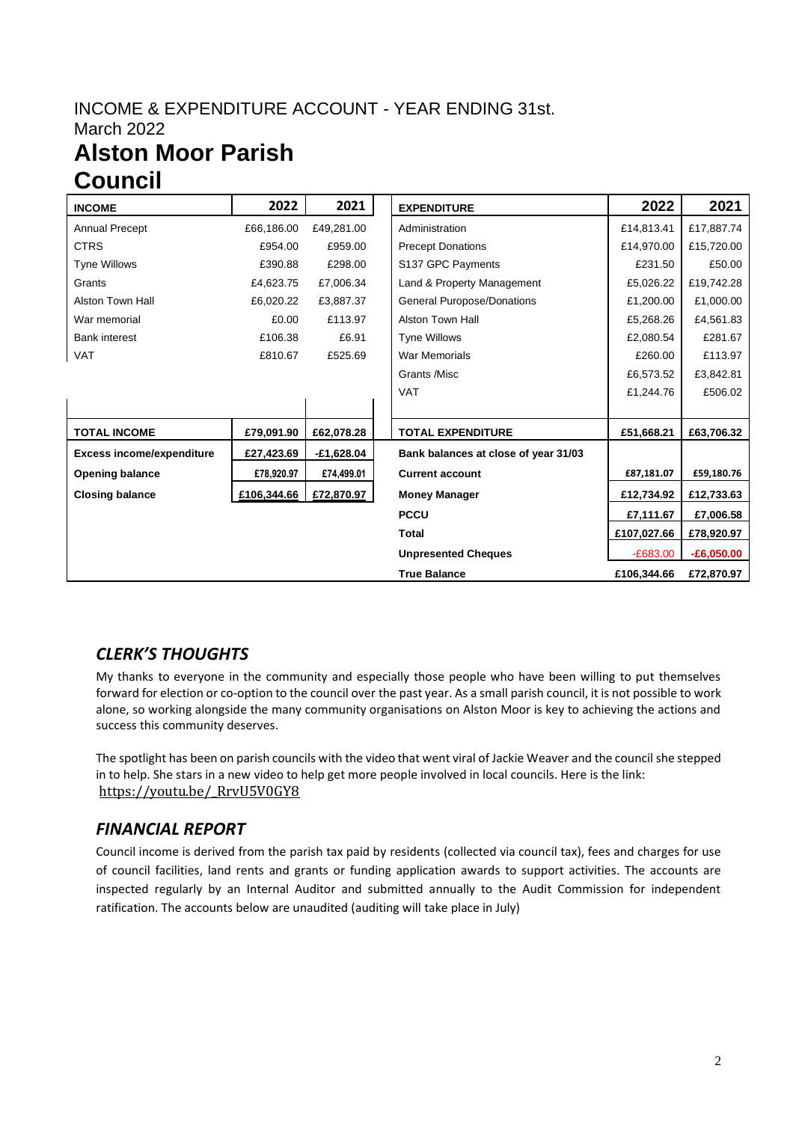## INCOME & EXPENDITURE ACCOUNT - YEAR ENDING 31st. March 2022

# **Alston Moor Parish Council**

| <b>INCOME</b>                    | 2022        | 2021         | <b>EXPENDITURE</b>                   | 2022        | 2021       |
|----------------------------------|-------------|--------------|--------------------------------------|-------------|------------|
| <b>Annual Precept</b>            | £66,186.00  | £49,281.00   | Administration                       | £14,813.41  | £17,887.74 |
| <b>CTRS</b>                      | £954.00     | £959.00      | <b>Precept Donations</b>             | £14,970.00  | £15,720.00 |
| Tyne Willows                     | £390.88     | £298.00      | S137 GPC Payments                    | £231.50     | £50.00     |
| Grants                           | £4,623.75   | £7,006.34    | Land & Property Management           | £5,026.22   | £19,742.28 |
| <b>Alston Town Hall</b>          | £6,020.22   | £3,887.37    | <b>General Puropose/Donations</b>    | £1,200.00   | £1,000.00  |
| War memorial                     | £0.00       | £113.97      | Alston Town Hall                     | £5,268.26   | £4,561.83  |
| <b>Bank interest</b>             | £106.38     | £6.91        | <b>Tyne Willows</b>                  | £2,080.54   | £281.67    |
| <b>VAT</b>                       | £810.67     | £525.69      | War Memorials                        | £260.00     | £113.97    |
|                                  |             |              | Grants /Misc                         | £6,573.52   | £3,842.81  |
|                                  |             |              | <b>VAT</b>                           | £1,244.76   | £506.02    |
|                                  |             |              |                                      |             |            |
| <b>TOTAL INCOME</b>              | £79,091.90  | £62,078.28   | <b>TOTAL EXPENDITURE</b>             | £51,668.21  | £63,706.32 |
| <b>Excess income/expenditure</b> | £27,423.69  | $-£1,628.04$ | Bank balances at close of year 31/03 |             |            |
| <b>Opening balance</b>           | £78,920.97  | £74,499.01   | <b>Current account</b>               | £87,181.07  | £59,180.76 |
| <b>Closing balance</b>           | £106,344.66 | £72,870.97   | <b>Money Manager</b>                 | £12,734.92  | £12,733.63 |
|                                  |             |              | <b>PCCU</b>                          | £7,111.67   | £7,006.58  |
|                                  |             |              | <b>Total</b>                         | £107,027.66 | £78,920.97 |
|                                  |             |              | <b>Unpresented Cheques</b>           | $-E683.00$  | -£6,050.00 |
|                                  |             |              | <b>True Balance</b>                  | £106,344.66 | £72,870.97 |

# *CLERK'S THOUGHTS*

My thanks to everyone in the community and especially those people who have been willing to put themselves forward for election or co-option to the council over the past year. As a small parish council, it is not possible to work alone, so working alongside the many community organisations on Alston Moor is key to achieving the actions and success this community deserves.

The spotlight has been on parish councils with the video that went viral of Jackie Weaver and the council she stepped in to help. She stars in a new video to help get more people involved in local councils. Here is the link: [https://youtu.be/\\_RrvU5V0GY8](https://youtu.be/_RrvU5V0GY8)

# *FINANCIAL REPORT*

Council income is derived from the parish tax paid by residents (collected via council tax), fees and charges for use of council facilities, land rents and grants or funding application awards to support activities. The accounts are inspected regularly by an Internal Auditor and submitted annually to the Audit Commission for independent ratification. The accounts below are unaudited (auditing will take place in July)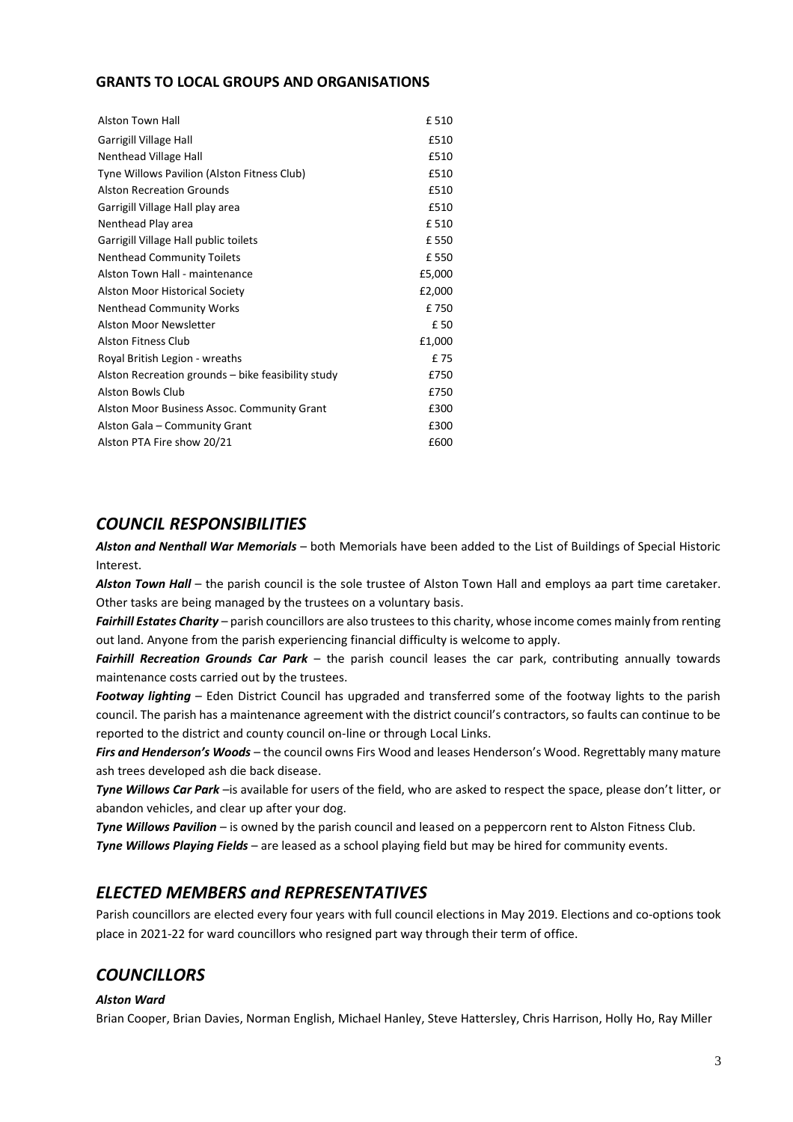#### **GRANTS TO LOCAL GROUPS AND ORGANISATIONS**

| <b>Alston Town Hall</b>                            | £ 510  |
|----------------------------------------------------|--------|
| Garrigill Village Hall                             | £510   |
| Nenthead Village Hall                              | £510   |
| Tyne Willows Pavilion (Alston Fitness Club)        | £510   |
| <b>Alston Recreation Grounds</b>                   | £510   |
| Garrigill Village Hall play area                   | £510   |
| Nenthead Play area                                 | £510   |
| Garrigill Village Hall public toilets              | £550   |
| <b>Nenthead Community Toilets</b>                  | £550   |
| Alston Town Hall - maintenance                     | £5,000 |
| Alston Moor Historical Society                     | £2,000 |
| <b>Nenthead Community Works</b>                    | £750   |
| Alston Moor Newsletter                             | £ 50   |
| <b>Alston Fitness Club</b>                         | £1,000 |
| Royal British Legion - wreaths                     | £75    |
| Alston Recreation grounds - bike feasibility study | £750   |
| Alston Bowls Club                                  | £750   |
| Alston Moor Business Assoc. Community Grant        | £300   |
| Alston Gala - Community Grant                      | £300   |
| Alston PTA Fire show 20/21                         | £600   |

### *COUNCIL RESPONSIBILITIES*

*Alston and Nenthall War Memorials* – both Memorials have been added to the List of Buildings of Special Historic Interest.

*Alston Town Hall* – the parish council is the sole trustee of Alston Town Hall and employs aa part time caretaker. Other tasks are being managed by the trustees on a voluntary basis.

*Fairhill Estates Charity* – parish councillors are also trustees to this charity, whose income comes mainly from renting out land. Anyone from the parish experiencing financial difficulty is welcome to apply.

*Fairhill Recreation Grounds Car Park* – the parish council leases the car park, contributing annually towards maintenance costs carried out by the trustees.

*Footway lighting* – Eden District Council has upgraded and transferred some of the footway lights to the parish council. The parish has a maintenance agreement with the district council's contractors, so faults can continue to be reported to the district and county council on-line or through Local Links.

*Firs and Henderson's Woods –* the council owns Firs Wood and leases Henderson's Wood. Regrettably many mature ash trees developed ash die back disease.

*Tyne Willows Car Park –*is available for users of the field, who are asked to respect the space, please don't litter, or abandon vehicles, and clear up after your dog.

*Tyne Willows Pavilion* – is owned by the parish council and leased on a peppercorn rent to Alston Fitness Club.

*Tyne Willows Playing Fields* – are leased as a school playing field but may be hired for community events.

## *ELECTED MEMBERS and REPRESENTATIVES*

Parish councillors are elected every four years with full council elections in May 2019. Elections and co-options took place in 2021-22 for ward councillors who resigned part way through their term of office.

# *COUNCILLORS*

#### *Alston Ward*

Brian Cooper, Brian Davies, Norman English, Michael Hanley, Steve Hattersley, Chris Harrison, Holly Ho, Ray Miller